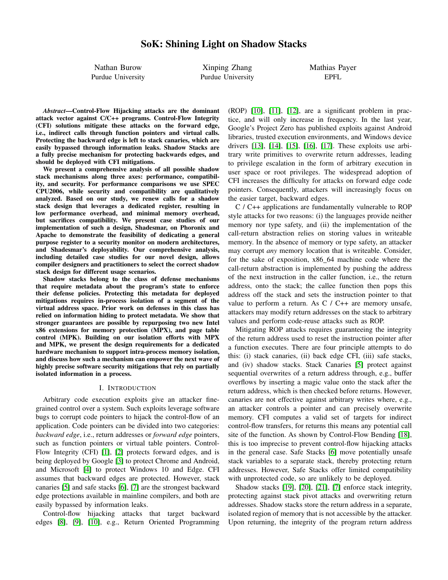Nathan Burow Purdue University

Xinping Zhang Purdue University Mathias Payer EPFL

*Abstract*—Control-Flow Hijacking attacks are the dominant attack vector against C/C++ programs. Control-Flow Integrity (CFI) solutions mitigate these attacks on the forward edge, i.e., indirect calls through function pointers and virtual calls. Protecting the backward edge is left to stack canaries, which are easily bypassed through information leaks. Shadow Stacks are a fully precise mechanism for protecting backwards edges, and should be deployed with CFI mitigations.

We present a comprehensive analysis of all possible shadow stack mechanisms along three axes: performance, compatibility, and security. For performance comparisons we use SPEC CPU2006, while security and compatibility are qualitatively analyzed. Based on our study, we renew calls for a shadow stack design that leverages a dedicated register, resulting in low performance overhead, and minimal memory overhead, but sacrifices compatibility. We present case studies of our implementation of such a design, Shadesmar, on Phoronix and Apache to demonstrate the feasibility of dedicating a general purpose register to a security monitor on modern architectures, and Shadesmar's deployability. Our comprehensive analysis, including detailed case studies for our novel design, allows compiler designers and practitioners to select the correct shadow stack design for different usage scenarios.

Shadow stacks belong to the class of defense mechanisms that require metadata about the program's state to enforce their defense policies. Protecting this metadata for deployed mitigations requires in-process isolation of a segment of the virtual address space. Prior work on defenses in this class has relied on information hiding to protect metadata. We show that stronger guarantees are possible by repurposing two new Intel x86 extensions for memory protection (MPX), and page table control (MPK). Building on our isolation efforts with MPX and MPK, we present the design requirements for a dedicated hardware mechanism to support intra-process memory isolation, and discuss how such a mechanism can empower the next wave of highly precise software security mitigations that rely on partially isolated information in a process.

## I. INTRODUCTION

Arbitrary code execution exploits give an attacker finegrained control over a system. Such exploits leverage software bugs to corrupt code pointers to hijack the control-flow of an application. Code pointers can be divided into two categories: *backward edge*, i.e., return addresses or *forward edge* pointers, such as function pointers or virtual table pointers. Control-Flow Integrity (CFI) [\[1\]](#page-13-0), [\[2\]](#page-13-1) protects forward edges, and is being deployed by Google [\[3\]](#page-13-2) to protect Chrome and Android, and Microsoft [\[4\]](#page-13-3) to protect Windows 10 and Edge. CFI assumes that backward edges are protected. However, stack canaries [\[5\]](#page-13-4) and safe stacks [\[6\]](#page-13-5), [\[7\]](#page-13-6) are the strongest backward edge protections available in mainline compilers, and both are easily bypassed by information leaks.

Control-flow hijacking attacks that target backward edges [\[8\]](#page-13-7), [\[9\]](#page-13-8), [\[10\]](#page-13-9), e.g., Return Oriented Programming (ROP) [\[10\]](#page-13-9), [\[11\]](#page-13-10), [\[12\]](#page-13-11), are a significant problem in practice, and will only increase in frequency. In the last year, Google's Project Zero has published exploits against Android libraries, trusted execution environments, and Windows device drivers [\[13\]](#page-13-12), [\[14\]](#page-13-13), [\[15\]](#page-13-14), [\[16\]](#page-13-15), [\[17\]](#page-13-16). These exploits use arbitrary write primitives to overwrite return addresses, leading to privilege escalation in the form of arbitrary execution in user space or root privileges. The widespread adoption of CFI increases the difficulty for attacks on forward edge code pointers. Consequently, attackers will increasingly focus on the easier target, backward edges.

C / C++ applications are fundamentally vulnerable to ROP style attacks for two reasons: (i) the languages provide neither memory nor type safety, and (ii) the implementation of the call-return abstraction relies on storing values in writeable memory. In the absence of memory or type safety, an attacker may corrupt *any* memory location that is writeable. Consider, for the sake of exposition, x86 64 machine code where the call-return abstraction is implemented by pushing the address of the next instruction in the caller function, i.e., the return address, onto the stack; the callee function then pops this address off the stack and sets the instruction pointer to that value to perform a return. As  $C / C++$  are memory unsafe, attackers may modify return addresses on the stack to arbitrary values and perform code-reuse attacks such as ROP.

Mitigating ROP attacks requires guaranteeing the integrity of the return address used to reset the instruction pointer after a function executes. There are four principle attempts to do this: (i) stack canaries, (ii) back edge CFI, (iii) safe stacks, and (iv) shadow stacks. Stack Canaries [\[5\]](#page-13-4) protect against sequential overwrites of a return address through, e.g., buffer overflows by inserting a magic value onto the stack after the return address, which is then checked before returns. However, canaries are not effective against arbitrary writes where, e.g., an attacker controls a pointer and can precisely overwrite memory. CFI computes a valid set of targets for indirect control-flow transfers, for returns this means any potential call site of the function. As shown by Control-Flow Bending [\[18\]](#page-13-17), this is too imprecise to prevent control-flow hijacking attacks in the general case. Safe Stacks [\[6\]](#page-13-5) move potentially unsafe stack variables to a separate stack, thereby protecting return addresses. However, Safe Stacks offer limited compatibility with unprotected code, so are unlikely to be deployed.

Shadow stacks [\[19\]](#page-13-18), [\[20\]](#page-13-19), [\[21\]](#page-13-20), [\[7\]](#page-13-6) enforce stack integrity, protecting against stack pivot attacks and overwriting return addresses. Shadow stacks store the return address in a separate, isolated region of memory that is not accessible by the attacker. Upon returning, the integrity of the program return address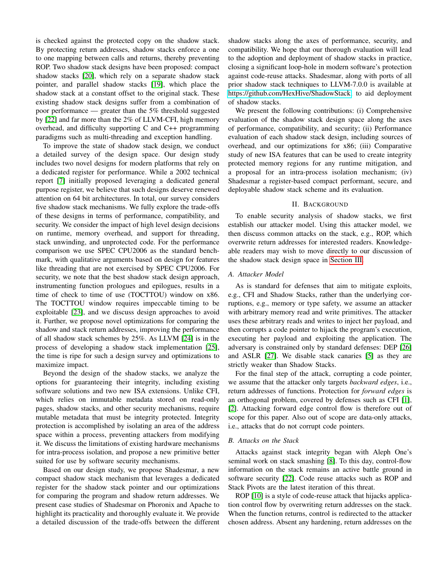is checked against the protected copy on the shadow stack. By protecting return addresses, shadow stacks enforce a one to one mapping between calls and returns, thereby preventing ROP. Two shadow stack designs have been proposed: compact shadow stacks [\[20\]](#page-13-19), which rely on a separate shadow stack pointer, and parallel shadow stacks [\[19\]](#page-13-18), which place the shadow stack at a constant offset to the original stack. These existing shadow stack designs suffer from a combination of poor performance — greater than the 5% threshold suggested by [\[22\]](#page-13-21) and far more than the 2% of LLVM-CFI, high memory overhead, and difficulty supporting C and C++ programming paradigms such as multi-threading and exception handling.

To improve the state of shadow stack design, we conduct a detailed survey of the design space. Our design study includes two novel designs for modern platforms that rely on a dedicated register for performance. While a 2002 technical report [\[7\]](#page-13-6) initially proposed leveraging a dedicated general purpose register, we believe that such designs deserve renewed attention on 64 bit architectures. In total, our survey considers five shadow stack mechanisms. We fully explore the trade-offs of these designs in terms of performance, compatibility, and security. We consider the impact of high level design decisions on runtime, memory overhead, and support for threading, stack unwinding, and unprotected code. For the performance comparison we use SPEC CPU2006 as the standard benchmark, with qualitative arguments based on design for features like threading that are not exercised by SPEC CPU2006. For security, we note that the best shadow stack design approach, instrumenting function prologues and epilogues, results in a time of check to time of use (TOCTTOU) window on x86. The TOCTTOU window requires impeccable timing to be exploitable [\[23\]](#page-13-22), and we discuss design approaches to avoid it. Further, we propose novel optimizations for comparing the shadow and stack return addresses, improving the performance of all shadow stack schemes by 25%. As LLVM [\[24\]](#page-13-23) is in the process of developing a shadow stack implementation [\[25\]](#page-13-24), the time is ripe for such a design survey and optimizations to maximize impact.

Beyond the design of the shadow stacks, we analyze the options for guaranteeing their integrity, including existing software solutions and two new ISA extensions. Unlike CFI, which relies on immutable metadata stored on read-only pages, shadow stacks, and other security mechanisms, require mutable metadata that must be integrity protected. Integrity protection is accomplished by isolating an area of the address space within a process, preventing attackers from modifying it. We discuss the limitations of existing hardware mechanisms for intra-process isolation, and propose a new primitive better suited for use by software security mechanisms.

Based on our design study, we propose Shadesmar, a new compact shadow stack mechanism that leverages a dedicated register for the shadow stack pointer and our optimizations for comparing the program and shadow return addresses. We present case studies of Shadesmar on Phoronix and Apache to highlight its practicality and thoroughly evaluate it. We provide a detailed discussion of the trade-offs between the different shadow stacks along the axes of performance, security, and compatibility. We hope that our thorough evaluation will lead to the adoption and deployment of shadow stacks in practice, closing a significant loop-hole in modern software's protection against code-reuse attacks. Shadesmar, along with ports of all prior shadow stack techniques to LLVM-7.0.0 is available at [https://github.com/HexHive/ShadowStack,](https://github.com/HexHive/ShadowStack) to aid deployment of shadow stacks.

We present the following contributions: (i) Comprehensive evaluation of the shadow stack design space along the axes of performance, compatibility, and security; (ii) Performance evaluation of each shadow stack design, including sources of overhead, and our optimizations for x86; (iii) Comparative study of new ISA features that can be used to create integrity protected memory regions for any runtime mitigation, and a proposal for an intra-process isolation mechanism; (iv) Shadesmar a register-based compact performant, secure, and deployable shadow stack scheme and its evaluation.

# II. BACKGROUND

To enable security analysis of shadow stacks, we first establish our attacker model. Using this attacker model, we then discuss common attacks on the stack, e.g., ROP, which overwrite return addresses for interested readers. Knowledgeable readers may wish to move directly to our discussion of the shadow stack design space in [Section III.](#page-2-0)

# *A. Attacker Model*

As is standard for defenses that aim to mitigate exploits, e.g., CFI and Shadow Stacks, rather than the underlying corruptions, e.g., memory or type safety, we assume an attacker with arbitrary memory read and write primitives. The attacker uses these arbitrary reads and writes to inject her payload, and then corrupts a code pointer to hijack the program's execution, executing her payload and exploiting the application. The adversary is constrained only by standard defenses: DEP [\[26\]](#page-13-25) and ASLR [\[27\]](#page-13-26). We disable stack canaries [\[5\]](#page-13-4) as they are strictly weaker than Shadow Stacks.

For the final step of the attack, corrupting a code pointer, we assume that the attacker only targets *backward edges*, i.e., return addresses of functions. Protection for *forward edges* is an orthogonal problem, covered by defenses such as CFI [\[1\]](#page-13-0), [\[2\]](#page-13-1). Attacking forward edge control flow is therefore out of scope for this paper. Also out of scope are data-only attacks, i.e., attacks that do not corrupt code pointers.

# *B. Attacks on the Stack*

Attacks against stack integrity began with Aleph One's seminal work on stack smashing [\[8\]](#page-13-7). To this day, control-flow information on the stack remains an active battle ground in software security [\[22\]](#page-13-21). Code reuse attacks such as ROP and Stack Pivots are the latest iteration of this threat.

ROP [\[10\]](#page-13-9) is a style of code-reuse attack that hijacks application control flow by overwriting return addresses on the stack. When the function returns, control is redirected to the attacker chosen address. Absent any hardening, return addresses on the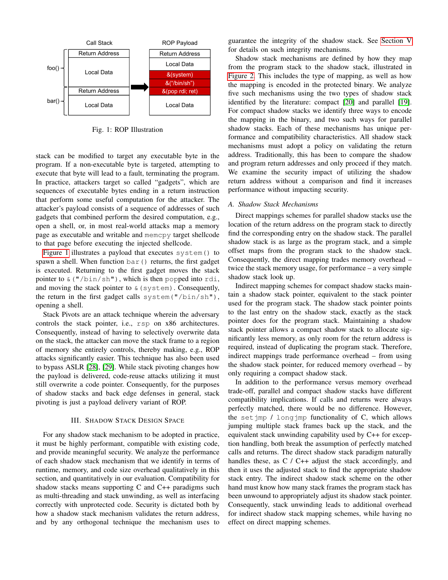

<span id="page-2-1"></span>Fig. 1: ROP Illustration

stack can be modified to target any executable byte in the program. If a non-executable byte is targeted, attempting to execute that byte will lead to a fault, terminating the program. In practice, attackers target so called "gadgets", which are sequences of executable bytes ending in a return instruction that perform some useful computation for the attacker. The attacker's payload consists of a sequence of addresses of such gadgets that combined perform the desired computation, e.g., open a shell, or, in most real-world attacks map a memory page as executable and writable and memcpy target shellcode to that page before executing the injected shellcode.

[Figure 1](#page-2-1) illustrates a payload that executes system() to spawn a shell. When function bar () returns, the first gadget is executed. Returning to the first gadget moves the stack pointer to  $\&$  ("/bin/sh"), which is then popped into rdi, and moving the stack pointer to  $\&$  (system). Consequently, the return in the first gadget calls system("/bin/sh"), opening a shell.

Stack Pivots are an attack technique wherein the adversary controls the stack pointer, i.e., rsp on x86 architectures. Consequently, instead of having to selectively overwrite data on the stack, the attacker can move the stack frame to a region of memory she entirely controls, thereby making, e.g., ROP attacks significantly easier. This technique has also been used to bypass ASLR [\[28\]](#page-13-27), [\[29\]](#page-13-28). While stack pivoting changes how the payload is delivered, code-reuse attacks utilizing it must still overwrite a code pointer. Consequently, for the purposes of shadow stacks and back edge defenses in general, stack pivoting is just a payload delivery variant of ROP.

#### III. SHADOW STACK DESIGN SPACE

<span id="page-2-0"></span>For any shadow stack mechanism to be adopted in practice, it must be highly performant, compatible with existing code, and provide meaningful security. We analyze the performance of each shadow stack mechanism that we identify in terms of runtime, memory, and code size overhead qualitatively in this section, and quantitatively in our evaluation. Compatibility for shadow stacks means supporting C and C++ paradigms such as multi-threading and stack unwinding, as well as interfacing correctly with unprotected code. Security is dictated both by how a shadow stack mechanism validates the return address, and by any orthogonal technique the mechanism uses to

guarantee the integrity of the shadow stack. See [Section V](#page-6-0) for details on such integrity mechanisms.

Shadow stack mechanisms are defined by how they map from the program stack to the shadow stack, illustrated in [Figure 2.](#page-3-0) This includes the type of mapping, as well as how the mapping is encoded in the protected binary. We analyze five such mechanisms using the two types of shadow stack identified by the literature: compact [\[20\]](#page-13-19) and parallel [\[19\]](#page-13-18). For compact shadow stacks we identify three ways to encode the mapping in the binary, and two such ways for parallel shadow stacks. Each of these mechanisms has unique performance and compatibility characteristics. All shadow stack mechanisms must adopt a policy on validating the return address. Traditionally, this has been to compare the shadow and program return addresses and only proceed if they match. We examine the security impact of utilizing the shadow return address without a comparison and find it increases performance without impacting security.

#### *A. Shadow Stack Mechanisms*

Direct mappings schemes for parallel shadow stacks use the location of the return address on the program stack to directly find the corresponding entry on the shadow stack. The parallel shadow stack is as large as the program stack, and a simple offset maps from the program stack to the shadow stack. Consequently, the direct mapping trades memory overhead – twice the stack memory usage, for performance – a very simple shadow stack look up.

Indirect mapping schemes for compact shadow stacks maintain a shadow stack pointer, equivalent to the stack pointer used for the program stack. The shadow stack pointer points to the last entry on the shadow stack, exactly as the stack pointer does for the program stack. Maintaining a shadow stack pointer allows a compact shadow stack to allocate significantly less memory, as only room for the return address is required, instead of duplicating the program stack. Therefore, indirect mappings trade performance overhead – from using the shadow stack pointer, for reduced memory overhead – by only requiring a compact shadow stack.

In addition to the performance versus memory overhead trade-off, parallel and compact shadow stacks have different compatibility implications. If calls and returns were always perfectly matched, there would be no difference. However, the set  $\gamma$  in  $\gamma$  long  $\gamma$  functionality of C, which allows jumping multiple stack frames back up the stack, and the equivalent stack unwinding capability used by C++ for exception handling, both break the assumption of perfectly matched calls and returns. The direct shadow stack paradigm naturally handles these, as  $C / C++$  adjust the stack accordingly, and then it uses the adjusted stack to find the appropriate shadow stack entry. The indirect shadow stack scheme on the other hand must know how many stack frames the program stack has been unwound to appropriately adjust its shadow stack pointer. Consequently, stack unwinding leads to additional overhead for indirect shadow stack mapping schemes, while having no effect on direct mapping schemes.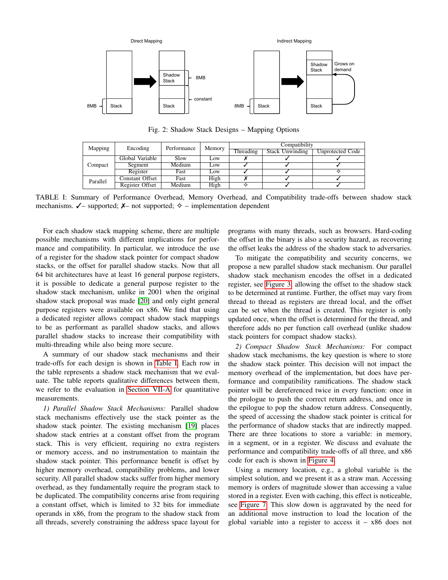

<span id="page-3-0"></span>Fig. 2: Shadow Stack Designs – Mapping Options

|         |                        |          |             | Compatibility |                        |                  |  |
|---------|------------------------|----------|-------------|---------------|------------------------|------------------|--|
|         |                        |          |             | Threading     | <b>Stack Unwinding</b> | Unprotected Code |  |
| Compact | Global Variable        | Slow     | Low         |               |                        |                  |  |
|         | Segment                | Medium   | LOW.        |               |                        |                  |  |
|         | Register               | Fast     | Low.        |               |                        |                  |  |
|         | <b>Constant Offset</b> | Fast     | High        |               |                        |                  |  |
|         | Register Offset        | Medium   | High        |               |                        |                  |  |
|         | Mapping<br>Parallel    | Encoding | Performance | Memory        |                        |                  |  |

<span id="page-3-1"></span>TABLE I: Summary of Performance Overhead, Memory Overhead, and Compatibility trade-offs between shadow stack mechanisms.  $\checkmark$  – supported;  $\checkmark$  – not supported;  $\diamond$  – implementation dependent

For each shadow stack mapping scheme, there are multiple possible mechanisms with different implications for performance and compatibility. In particular, we introduce the use of a register for the shadow stack pointer for compact shadow stacks, or the offset for parallel shadow stacks. Now that all 64 bit architectures have at least 16 general purpose registers, it is possible to dedicate a general purpose register to the shadow stack mechanism, unlike in 2001 when the original shadow stack proposal was made [\[20\]](#page-13-19) and only eight general purpose registers were available on x86. We find that using a dedicated register allows compact shadow stack mappings to be as performant as parallel shadow stacks, and allows parallel shadow stacks to increase their compatibility with multi-threading while also being more secure.

A summary of our shadow stack mechanisms and their trade-offs for each design is shown in [Table I.](#page-3-1) Each row in the table represents a shadow stack mechanism that we evaluate. The table reports qualitative differences between them, we refer to the evaluation in [Section VII-A](#page-9-0) for quantitative measurements.

<span id="page-3-2"></span>*1) Parallel Shadow Stack Mechanisms:* Parallel shadow stack mechanisms effectively use the stack pointer as the shadow stack pointer. The existing mechanism [\[19\]](#page-13-18) places shadow stack entries at a constant offset from the program stack. This is very efficient, requiring no extra registers or memory access, and no instrumentation to maintain the shadow stack pointer. This performance benefit is offset by higher memory overhead, compatibility problems, and lower security. All parallel shadow stacks suffer from higher memory overhead, as they fundamentally require the program stack to be duplicated. The compatibility concerns arise from requiring a constant offset, which is limited to 32 bits for immediate operands in x86, from the program to the shadow stack from all threads, severely constraining the address space layout for programs with many threads, such as browsers. Hard-coding the offset in the binary is also a security hazard, as recovering the offset leaks the address of the shadow stack to adversaries.

To mitigate the compatibility and security concerns, we propose a new parallel shadow stack mechanism. Our parallel shadow stack mechanism encodes the offset in a dedicated register, see [Figure 3,](#page-4-0) allowing the offset to the shadow stack to be determined at runtime. Further, the offset may vary from thread to thread as registers are thread local, and the offset can be set when the thread is created. This register is only updated once, when the offset is determined for the thread, and therefore adds no per function call overhead (unlike shadow stack pointers for compact shadow stacks).

*2) Compact Shadow Stack Mechanisms:* For compact shadow stack mechanisms, the key question is where to store the shadow stack pointer. This decision will not impact the memory overhead of the implementation, but does have performance and compatibility ramifications. The shadow stack pointer will be dereferenced twice in every function: once in the prologue to push the correct return address, and once in the epilogue to pop the shadow return address. Consequently, the speed of accessing the shadow stack pointer is critical for the performance of shadow stacks that are indirectly mapped. There are three locations to store a variable: in memory, in a segment, or in a register. We discuss and evaluate the performance and compatibility trade-offs of all three, and x86 code for each is shown in [Figure 4.](#page-4-1)

Using a memory location, e.g., a global variable is the simplest solution, and we present it as a straw man. Accessing memory is orders of magnitude slower than accessing a value stored in a register. Even with caching, this effect is noticeable, see [Figure 7.](#page-10-0) This slow down is aggravated by the need for an additional move instruction to load the location of the global variable into a register to access it – x86 does not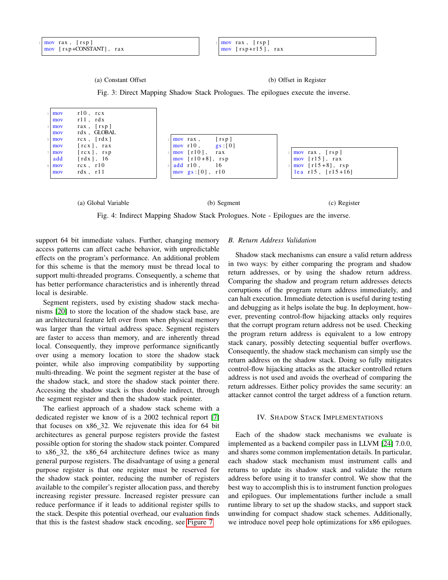mov rax, [rsp] mov  $[rsp + r15]$ , rax

(a) Constant Offset

(b) Offset in Register

<span id="page-4-0"></span>Fig. 3: Direct Mapping Shadow Stack Prologues. The epilogues execute the inverse.

| $1$ mov             | $r10$ , $rcx$                   |                                             |                                     |
|---------------------|---------------------------------|---------------------------------------------|-------------------------------------|
| $\mathsf{Im}$       | $r11$ , $rdx$                   |                                             |                                     |
| $3 \mid \text{mov}$ | rax, $\lceil rsp \rceil$        |                                             |                                     |
| $\mathsf{Im}$       | rdx, GLOBAL                     |                                             |                                     |
| $5 \,$ mov          | $rcx$ , $\lceil rdx\rceil$      | $[\,\mathsf{rsp}\,]$<br>mov rax,            |                                     |
| mov                 | $\lceil$ rcx $\rceil$ , rax     | $\frac{\text{mov}}{\text{r10}}$ .<br>gs:[0] |                                     |
| $7 \text{ mov}$     | $\lceil rcx \rceil, rsp \rceil$ | mov $\lceil r10 \rceil$ ,<br>rax            | mov rax, $\lceil \text{rsp} \rceil$ |
| add                 | $\lceil \text{rdx} \rceil$ , 16 | mov $\lceil r10+8\rceil$ , rsp              | mov $\lceil r15 \rceil$ , rax       |
| $9 \mid \text{mov}$ | $rcx$ , $r10$                   | add $r10$ , $16$                            | $\frac{3}{2}$ mov [r15+8], rsp      |
| mov                 | $rdx$ , $r11$                   | mov $gs:[0]$ , r10                          | lea $r15$ , $[r15+16]$              |
|                     |                                 |                                             |                                     |
|                     |                                 |                                             |                                     |
|                     |                                 |                                             |                                     |

(a) Global Variable

(b) Segment

(c) Register

<span id="page-4-1"></span>Fig. 4: Indirect Mapping Shadow Stack Prologues. Note - Epilogues are the inverse.

support 64 bit immediate values. Further, changing memory access patterns can affect cache behavior, with unpredictable effects on the program's performance. An additional problem for this scheme is that the memory must be thread local to support multi-threaded programs. Consequently, a scheme that has better performance characteristics and is inherently thread local is desirable.

Segment registers, used by existing shadow stack mechanisms [\[20\]](#page-13-19) to store the location of the shadow stack base, are an architectural feature left over from when physical memory was larger than the virtual address space. Segment registers are faster to access than memory, and are inherently thread local. Consequently, they improve performance significantly over using a memory location to store the shadow stack pointer, while also improving compatibility by supporting multi-threading. We point the segment register at the base of the shadow stack, and store the shadow stack pointer there. Accessing the shadow stack is thus double indirect, through the segment register and then the shadow stack pointer.

The earliest approach of a shadow stack scheme with a dedicated register we know of is a 2002 technical report [\[7\]](#page-13-6) that focuses on x86\_32. We rejuvenate this idea for 64 bit architectures as general purpose registers provide the fastest possible option for storing the shadow stack pointer. Compared to x86 32, the x86 64 architecture defines twice as many general purpose registers. The disadvantage of using a general purpose register is that one register must be reserved for the shadow stack pointer, reducing the number of registers available to the compiler's register allocation pass, and thereby increasing register pressure. Increased register pressure can reduce performance if it leads to additional register spills to the stack. Despite this potential overhead, our evaluation finds that this is the fastest shadow stack encoding, see [Figure 7.](#page-10-0)

# <span id="page-4-2"></span>*B. Return Address Validation*

Shadow stack mechanisms can ensure a valid return address in two ways: by either comparing the program and shadow return addresses, or by using the shadow return address. Comparing the shadow and program return addresses detects corruptions of the program return address immediately, and can halt execution. Immediate detection is useful during testing and debugging as it helps isolate the bug. In deployment, however, preventing control-flow hijacking attacks only requires that the corrupt program return address not be used. Checking the program return address is equivalent to a low entropy stack canary, possibly detecting sequential buffer overflows. Consequently, the shadow stack mechanism can simply use the return address on the shadow stack. Doing so fully mitigates control-flow hijacking attacks as the attacker controlled return address is not used and avoids the overhead of comparing the return addresses. Either policy provides the same security: an attacker cannot control the target address of a function return.

### IV. SHADOW STACK IMPLEMENTATIONS

Each of the shadow stack mechanisms we evaluate is implemented as a backend compiler pass in LLVM [\[24\]](#page-13-23) 7.0.0, and shares some common implementation details. In particular, each shadow stack mechanism must instrument calls and returns to update its shadow stack and validate the return address before using it to transfer control. We show that the best way to accomplish this is to instrument function prologues and epilogues. Our implementations further include a small runtime library to set up the shadow stacks, and support stack unwinding for compact shadow stack schemes. Additionally, we introduce novel peep hole optimizations for x86 epilogues.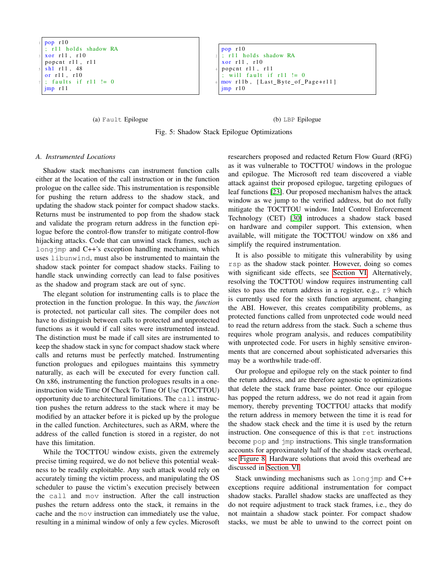

(a) Fault Epilogue

(b) LBP Epilogue

<span id="page-5-0"></span>Fig. 5: Shadow Stack Epilogue Optimizations

### *A. Instrumented Locations*

Shadow stack mechanisms can instrument function calls either at the location of the call instruction or in the function prologue on the callee side. This instrumentation is responsible for pushing the return address to the shadow stack, and updating the shadow stack pointer for compact shadow stacks. Returns must be instrumented to pop from the shadow stack and validate the program return address in the function epilogue before the control-flow transfer to mitigate control-flow hijacking attacks. Code that can unwind stack frames, such as longjmp and C++'s exception handling mechanism, which uses libunwind, must also be instrumented to maintain the shadow stack pointer for compact shadow stacks. Failing to handle stack unwinding correctly can lead to false positives as the shadow and program stack are out of sync.

The elegant solution for instrumenting calls is to place the protection in the function prologue. In this way, the *function* is protected, not particular call sites. The compiler does not have to distinguish between calls to protected and unprotected functions as it would if call sites were instrumented instead. The distinction must be made if call sites are instrumented to keep the shadow stack in sync for compact shadow stack where calls and returns must be perfectly matched. Instrumenting function prologues and epilogues maintains this symmetry naturally, as each will be executed for every function call. On x86, instrumenting the function prologues results in a oneinstruction wide Time Of Check To Time Of Use (TOCTTOU) opportunity due to architectural limitations. The call instruction pushes the return address to the stack where it may be modified by an attacker before it is picked up by the prologue in the called function. Architectures, such as ARM, where the address of the called function is stored in a register, do not have this limitation.

While the TOCTTOU window exists, given the extremely precise timing required, we do not believe this potential weakness to be readily exploitable. Any such attack would rely on accurately timing the victim process, and manipulating the OS scheduler to pause the victim's execution precisely between the call and mov instruction. After the call instruction pushes the return address onto the stack, it remains in the cache and the mov instruction can immediately use the value, resulting in a minimal window of only a few cycles. Microsoft researchers proposed and redacted Return Flow Guard (RFG) as it was vulnerable to TOCTTOU windows in the prologue and epilogue. The Microsoft red team discovered a viable attack against their proposed epilogue, targeting epilogues of leaf functions [\[23\]](#page-13-22). Our proposed mechanism halves the attack window as we jump to the verified address, but do not fully mitigate the TOCTTOU window. Intel Control Enforcement Technology (CET) [\[30\]](#page-13-29) introduces a shadow stack based on hardware and compiler support. This extension, when available, will mitigate the TOCTTOU window on x86 and simplify the required instrumentation.

It is also possible to mitigate this vulnerability by using rsp as the shadow stack pointer. However, doing so comes with significant side effects, see [Section VI.](#page-8-0) Alternatively, resolving the TOCTTOU window requires instrumenting call sites to pass the return address in a register, e.g., r9 which is currently used for the sixth function argument, changing the ABI. However, this creates compatibility problems, as protected functions called from unprotected code would need to read the return address from the stack. Such a scheme thus requires whole program analysis, and reduces compatibility with unprotected code. For users in highly sensitive environments that are concerned about sophisticated adversaries this may be a worthwhile trade-off.

Our prologue and epilogue rely on the stack pointer to find the return address, and are therefore agnostic to optimizations that delete the stack frame base pointer. Once our epilogue has popped the return address, we do not read it again from memory, thereby preventing TOCTTOU attacks that modify the return address in memory between the time it is read for the shadow stack check and the time it is used by the return instruction. One consequence of this is that ret instructions become pop and jmp instructions. This single transformation accounts for approximately half of the shadow stack overhead, see [Figure 8.](#page-10-1) Hardware solutions that avoid this overhead are discussed in [Section VI.](#page-8-0)

Stack unwinding mechanisms such as longjmp and C++ exceptions require additional instrumentation for compact shadow stacks. Parallel shadow stacks are unaffected as they do not require adjustment to track stack frames, i.e., they do not maintain a shadow stack pointer. For compact shadow stacks, we must be able to unwind to the correct point on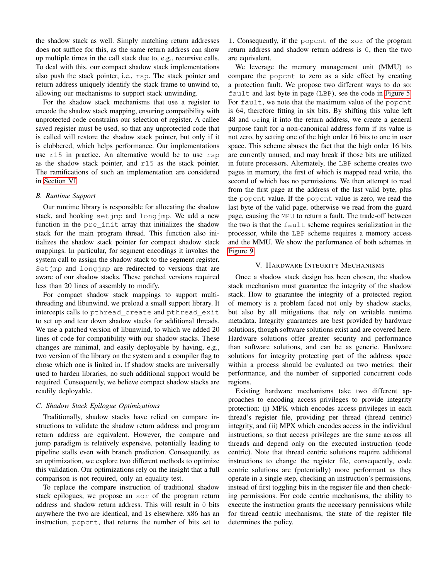the shadow stack as well. Simply matching return addresses does not suffice for this, as the same return address can show up multiple times in the call stack due to, e.g., recursive calls. To deal with this, our compact shadow stack implementations also push the stack pointer, i.e., rsp. The stack pointer and return address uniquely identify the stack frame to unwind to, allowing our mechanisms to support stack unwinding.

For the shadow stack mechanisms that use a register to encode the shadow stack mapping, ensuring compatibility with unprotected code constrains our selection of register. A callee saved register must be used, so that any unprotected code that is called will restore the shadow stack pointer, but only if it is clobbered, which helps performance. Our implementations use r15 in practice. An alternative would be to use rsp as the shadow stack pointer, and r15 as the stack pointer. The ramifications of such an implementation are considered in [Section VI.](#page-8-0)

# *B. Runtime Support*

Our runtime library is responsible for allocating the shadow stack, and hooking setjmp and longjmp. We add a new function in the pre\_init array that initializes the shadow stack for the main program thread. This function also initializes the shadow stack pointer for compact shadow stack mappings. In particular, for segment encodings it invokes the system call to assign the shadow stack to the segment register. Set imp and longimp are redirected to versions that are aware of our shadow stacks. These patched versions required less than 20 lines of assembly to modify.

For compact shadow stack mappings to support multithreading and libunwind, we preload a small support library. It intercepts calls to pthread\_create and pthread\_exit to set up and tear down shadow stacks for additional threads. We use a patched version of libunwind, to which we added 20 lines of code for compatibility with our shadow stacks. These changes are minimal, and easily deployable by having, e.g., two version of the library on the system and a compiler flag to chose which one is linked in. If shadow stacks are universally used to harden libraries, no such additional support would be required. Consequently, we believe compact shadow stacks are readily deployable.

# *C. Shadow Stack Epilogue Optimizations*

Traditionally, shadow stacks have relied on compare instructions to validate the shadow return address and program return address are equivalent. However, the compare and jump paradigm is relatively expensive, potentially leading to pipeline stalls even with branch prediction. Consequently, as an optimization, we explore two different methods to optimize this validation. Our optimizations rely on the insight that a full comparison is not required, only an equality test.

To replace the compare instruction of traditional shadow stack epilogues, we propose an xor of the program return address and shadow return address. This will result in 0 bits anywhere the two are identical, and 1s elsewhere. x86 has an instruction, popcnt, that returns the number of bits set to

1. Consequently, if the popcnt of the xor of the program return address and shadow return address is 0, then the two are equivalent.

We leverage the memory management unit (MMU) to compare the popcnt to zero as a side effect by creating a protection fault. We propose two different ways to do so: fault and last byte in page (LBP), see the code in [Figure 5.](#page-5-0) For fault, we note that the maximum value of the popent is 64, therefore fitting in six bits. By shifting this value left 48 and oring it into the return address, we create a general purpose fault for a non-canonical address form if its value is not zero, by setting one of the high order 16 bits to one in user space. This scheme abuses the fact that the high order 16 bits are currently unused, and may break if those bits are utilized in future processors. Alternately, the LBP scheme creates two pages in memory, the first of which is mapped read write, the second of which has no permissions. We then attempt to read from the first page at the address of the last valid byte, plus the popcnt value. If the popcnt value is zero, we read the last byte of the valid page, otherwise we read from the guard page, causing the MPU to return a fault. The trade-off between the two is that the fault scheme requires serialization in the processor, while the LBP scheme requires a memory access and the MMU. We show the performance of both schemes in [Figure 9.](#page-11-0)

# V. HARDWARE INTEGRITY MECHANISMS

<span id="page-6-0"></span>Once a shadow stack design has been chosen, the shadow stack mechanism must guarantee the integrity of the shadow stack. How to guarantee the integrity of a protected region of memory is a problem faced not only by shadow stacks, but also by all mitigations that rely on writable runtime metadata. Integrity guarantees are best provided by hardware solutions, though software solutions exist and are covered here. Hardware solutions offer greater security and performance than software solutions, and can be as generic. Hardware solutions for integrity protecting part of the address space within a process should be evaluated on two metrics: their performance, and the number of supported concurrent code regions.

Existing hardware mechanisms take two different approaches to encoding access privileges to provide integrity protection: (i) MPK which encodes access privileges in each thread's register file, providing per thread (thread centric) integrity, and (ii) MPX which encodes access in the individual instructions, so that access privileges are the same across all threads and depend only on the executed instruction (code centric). Note that thread centric solutions require additional instructions to change the register file, consequently, code centric solutions are (potentially) more performant as they operate in a single step, checking an instruction's permissions, instead of first toggling bits in the register file and then checking permissions. For code centric mechanisms, the ability to execute the instruction grants the necessary permissions while for thread centric mechanisms, the state of the register file determines the policy.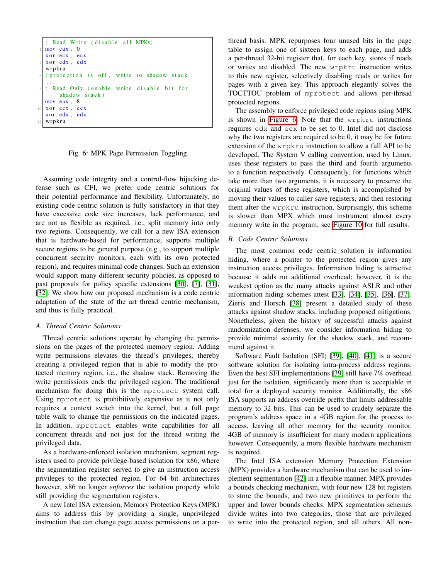```
; Read Write (disable all MPKs)
mov eax, 0x or ecx, ecx
x or edx, edx
wrpkru
; protection is off, write to shadow stack
. . .
; Read Only ( enable write disable bit for
    shadow stack)
mov eax , 8
x or ecx, ecx
x or edx edx
wrpkru
```
<span id="page-7-0"></span>Fig. 6: MPK Page Permission Toggling

Assuming code integrity and a control-flow hijacking defense such as CFI, we prefer code centric solutions for their potential performance and flexibility. Unfortunately, no existing code centric solution is fully satisfactory in that they have excessive code size increases, lack performance, and are not as flexible as required, i.e., split memory into only two regions. Consequently, we call for a new ISA extension that is hardware-based for performance, supports multiple secure regions to be general purpose (e.g., to support multiple concurrent security monitors, each with its own protected region), and requires minimal code changes. Such an extension would support many different security policies, as opposed to past proposals for policy specific extensions [\[30\]](#page-13-29), [\[7\]](#page-13-6), [\[31\]](#page-13-30), [\[32\]](#page-13-31). We show how our proposed mechanism is a code centric adaptation of the state of the art thread centric mechanism, and thus is fully practical.

#### *A. Thread Centric Solutions*

Thread centric solutions operate by changing the permissions on the pages of the protected memory region. Adding write permissions elevates the thread's privileges, thereby creating a privileged region that is able to modify the protected memory region, i.e., the shadow stack. Removing the write permissions ends the privileged region. The traditional mechanism for doing this is the mprotect system call. Using mprotect is prohibitively expensive as it not only requires a context switch into the kernel, but a full page table walk to change the permissions on the indicated pages. In addition, mprotect enables write capabilities for all concurrent threads and not just for the thread writing the privileged data.

As a hardware-enforced isolation mechanism, segment registers used to provide privilege-based isolation for x86, where the segmentation register served to give an instruction access privileges to the protected region. For 64 bit architectures however, x86 no longer *enforces* the isolation property while still providing the segmentation registers.

A new Intel ISA extension, Memory Protection Keys (MPK) aims to address this by providing a single, unprivileged instruction that can change page access permissions on a perthread basis. MPK repurposes four unused bits in the page table to assign one of sixteen keys to each page, and adds a per-thread 32-bit register that, for each key, stores if reads or writes are disabled. The new wrpkru instruction writes to this new register, selectively disabling reads or writes for pages with a given key. This approach elegantly solves the TOCTTOU problem of mprotect and allows per-thread protected regions.

The assembly to enforce privileged code regions using MPK is shown in [Figure 6.](#page-7-0) Note that the wrpkru instructions requires edx and ecx to be set to 0. Intel did not disclose why the two registers are required to be 0, it may be for future extension of the wrpkru instruction to allow a full API to be developed. The System V calling convention, used by Linux, uses these registers to pass the third and fourth arguments to a function respectively. Consequently, for functions which take more than two arguments, it is necessary to preserve the original values of these registers, which is accomplished by moving their values to caller save registers, and then restoring them after the wrpkru instruction. Surprisingly, this scheme is slower than MPX which must instrument almost every memory write in the program, see [Figure 10](#page-11-1) for full results.

#### <span id="page-7-1"></span>*B. Code Centric Solutions*

The most common code centric solution is information hiding, where a pointer to the protected region gives any instruction access privileges. Information hiding is attractive because it adds no additional overhead; however, it is the weakest option as the many attacks against ASLR and other information hiding schemes attest [\[33\]](#page-13-32), [\[34\]](#page-13-33), [\[35\]](#page-13-34), [\[36\]](#page-13-35), [\[37\]](#page-13-36). Zieris and Horsch [\[38\]](#page-13-37) present a detailed study of these attacks against shadow stacks, including proposed mitigations. Nonetheless, given the history of successful attacks against randomization defenses, we consider information hiding to provide minimal security for the shadow stack, and recommend against it.

Software Fault Isolation (SFI) [\[39\]](#page-13-38), [\[40\]](#page-13-39), [\[41\]](#page-13-40) is a secure software solution for isolating intra-process address regions. Even the best SFI implementations [\[39\]](#page-13-38) still have 7% overhead just for the isolation, significantly more than is acceptable in total for a deployed security monitor. Additionally, the x86 ISA supports an address override prefix that limits addressable memory to 32 bits. This can be used to crudely separate the program's address space in a 4GB region for the process to access, leaving all other memory for the security monitor. 4GB of memory is insufficient for many modern applications however. Consequently, a more flexible hardware mechanism is required.

The Intel ISA extension Memory Protection Extension (MPX) provides a hardware mechanism that can be used to implement segmentation [\[42\]](#page-13-41) in a flexible manner. MPX provides a bounds checking mechanism, with four new 128 bit registers to store the bounds, and two new primitives to perform the upper and lower bounds checks. MPX segmentation schemes divide writes into two categories, those that are privileged to write into the protected region, and all others. All non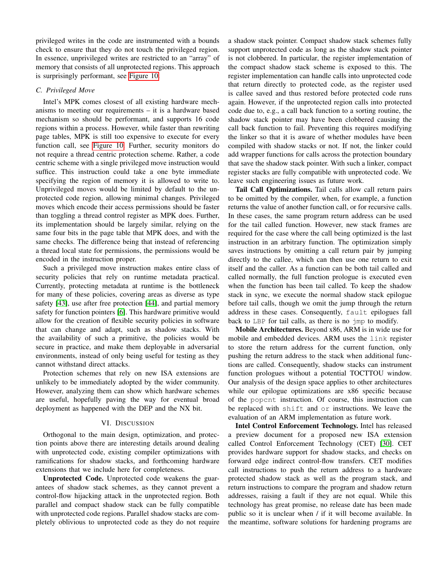privileged writes in the code are instrumented with a bounds check to ensure that they do not touch the privileged region. In essence, unprivileged writes are restricted to an "array" of memory that consists of all unprotected regions. This approach is surprisingly performant, see [Figure 10.](#page-11-1)

# <span id="page-8-1"></span>*C. Privileged Move*

Intel's MPK comes closest of all existing hardware mechanisms to meeting our requirements – it is a hardware based mechanism so should be performant, and supports 16 code regions within a process. However, while faster than rewriting page tables, MPK is still too expensive to execute for every function call, see [Figure 10.](#page-11-1) Further, security monitors do not require a thread centric protection scheme. Rather, a code centric scheme with a single privileged move instruction would suffice. This instruction could take a one byte immediate specifying the region of memory it is allowed to write to. Unprivileged moves would be limited by default to the unprotected code region, allowing minimal changes. Privileged moves which encode their access permissions should be faster than toggling a thread control register as MPK does. Further, its implementation should be largely similar, relying on the same four bits in the page table that MPK does, and with the same checks. The difference being that instead of referencing a thread local state for permissions, the permissions would be encoded in the instruction proper.

Such a privileged move instruction makes entire class of security policies that rely on runtime metadata practical. Currently, protecting metadata at runtime is the bottleneck for many of these policies, covering areas as diverse as type safety [\[43\]](#page-13-42), use after free protection [\[44\]](#page-13-43), and partial memory safety for function pointers [\[6\]](#page-13-5). This hardware primitive would allow for the creation of flexible security policies in software that can change and adapt, such as shadow stacks. With the availability of such a primitive, the policies would be secure in practice, and make them deployable in adversarial environments, instead of only being useful for testing as they cannot withstand direct attacks.

Protection schemes that rely on new ISA extensions are unlikely to be immediately adopted by the wider community. However, analyzing them can show which hardware schemes are useful, hopefully paving the way for eventual broad deployment as happened with the DEP and the NX bit.

# VI. DISCUSSION

<span id="page-8-0"></span>Orthogonal to the main design, optimization, and protection points above there are interesting details around dealing with unprotected code, existing compiler optimizations with ramifications for shadow stacks, and forthcoming hardware extensions that we include here for completeness.

Unprotected Code. Unprotected code weakens the guarantees of shadow stack schemes, as they cannot prevent a control-flow hijacking attack in the unprotected region. Both parallel and compact shadow stack can be fully compatible with unprotected code regions. Parallel shadow stacks are completely oblivious to unprotected code as they do not require a shadow stack pointer. Compact shadow stack schemes fully support unprotected code as long as the shadow stack pointer is not clobbered. In particular, the register implementation of the compact shadow stack scheme is exposed to this. The register implementation can handle calls into unprotected code that return directly to protected code, as the register used is callee saved and thus restored before protected code runs again. However, if the unprotected region calls into protected code due to, e.g., a call back function to a sorting routine, the shadow stack pointer may have been clobbered causing the call back function to fail. Preventing this requires modifying the linker so that it is aware of whether modules have been compiled with shadow stacks or not. If not, the linker could add wrapper functions for calls across the protection boundary that save the shadow stack pointer. With such a linker, compact register stacks are fully compatible with unprotected code. We leave such engineering issues as future work.

Tail Call Optimizations. Tail calls allow call return pairs to be omitted by the compiler, when, for example, a function returns the value of another function call, or for recursive calls. In these cases, the same program return address can be used for the tail called function. However, new stack frames are required for the case where the call being optimized is the last instruction in an arbitrary function. The optimization simply saves instructions by omitting a call return pair by jumping directly to the callee, which can then use one return to exit itself and the caller. As a function can be both tail called and called normally, the full function prologue is executed even when the function has been tail called. To keep the shadow stack in sync, we execute the normal shadow stack epilogue before tail calls, though we omit the jump through the return address in these cases. Consequently, fault epilogues fall back to LBP for tail calls, as there is no jmp to modify.

Mobile Architectures. Beyond x86, ARM is in wide use for mobile and embedded devices. ARM uses the link register to store the return address for the current function, only pushing the return address to the stack when additional functions are called. Consequently, shadow stacks can instrument function prologues without a potential TOCTTOU window. Our analysis of the design space applies to other architectures while our epilogue optimizations are x86 specific because of the popcnt instruction. Of course, this instruction can be replaced with shift and or instructions. We leave the evaluation of an ARM implementation as future work.

Intel Control Enforcement Technology. Intel has released a preview document for a proposed new ISA extension called Control Enforcement Technology (CET) [\[30\]](#page-13-29). CET provides hardware support for shadow stacks, and checks on forward edge indirect control-flow transfers. CET modifies call instructions to push the return address to a hardware protected shadow stack as well as the program stack, and return instructions to compare the program and shadow return addresses, raising a fault if they are not equal. While this technology has great promise, no release date has been made public so it is unclear when / if it will become available. In the meantime, software solutions for hardening programs are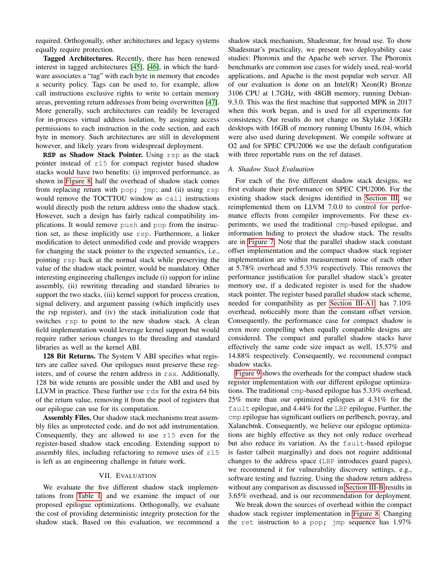required. Orthogonally, other architectures and legacy systems equally require protection.

Tagged Architectures. Recently, there has been renewed interest in tagged architectures [\[45\]](#page-13-44), [\[46\]](#page-13-45), in which the hardware associates a "tag" with each byte in memory that encodes a security policy. Tags can be used to, for example, allow call instructions exclusive rights to write to certain memory areas, preventing return addresses from being overwritten [\[47\]](#page-13-46). More generally, such architectures can readily be leveraged for in-process virtual address isolation, by assigning access permissions to each instruction in the code section, and each byte in memory. Such architectures are still in development however, and likely years from widespread deployment.

**RSP** as Shadow Stack Pointer. Using rsp as the stack pointer instead of r15 for compact register based shadow stacks would have two benefits: (i) improved performance, as shown in [Figure 8,](#page-10-1) half the overhead of shadow stack comes from replacing return with pop; jmp; and (ii) using rsp would remove the TOCTTOU window as call instructions would directly push the return address onto the shadow stack. However, such a design has fairly radical compatibility implications. It would remove push and pop from the instruction set, as these implicitly use rsp. Furthermore, a linker modification to detect unmodified code and provide wrappers for changing the stack pointer to the expected semantics, i.e., pointing rsp back at the normal stack while preserving the value of the shadow stack pointer, would be mandatory. Other interesting engineering challenges include (i) support for inline assembly, (ii) rewriting threading and standard libraries to support the two stacks, (iii) kernel support for process creation, signal delivery, and argument passing (which implicitly uses the rsp register), and (iv) the stack initialization code that switches rsp to point to the new shadow stack. A clean field implementation would leverage kernel support but would require rather serious changes to the threading and standard libraries as well as the kernel ABI.

128 Bit Returns. The System V ABI specifies what registers are callee saved. Our epilogues must preserve these registers, and of course the return address in rax. Additionally, 128 bit wide returns are possible under the ABI and used by LLVM in practice. These further use  $r dx$  for the extra 64 bits of the return value, removing it from the pool of registers that our epilogue can use for its computation.

Assembly Files. Our shadow stack mechanisms treat assembly files as unprotected code, and do not add instrumentation. Consequently, they are allowed to use r15 even for the register-based shadow stack encoding. Extending support to assembly files, including refactoring to remove uses of r15 is left as an engineering challenge in future work.

# VII. EVALUATION

We evaluate the five different shadow stack implementations from [Table I,](#page-3-1) and we examine the impact of our proposed epilogue optimizations. Orthogonally, we evaluate the cost of providing deterministic integrity protection for the shadow stack. Based on this evaluation, we recommend a shadow stack mechanism, Shadesmar, for broad use. To show Shadesmar's practicality, we present two deployability case studies: Phoronix and the Apache web server. The Phoronix benchmarks are common use cases for widely used, real-world applications, and Apache is the most popular web server. All of our evaluation is done on an Intel(R) Xeon(R) Bronze 3106 CPU at 1.7GHz, with 48GB memory, running Debian-9.3.0. This was the first machine that supported MPK in 2017 when this work began, and is used for all experiments for consistency. Our results do not change on Skylake 3.0GHz desktops with 16GB of memory running Ubuntu 16.04, which were also used during development. We compile software at O2 and for SPEC CPU2006 we use the default configuration with three reportable runs on the ref dataset.

# <span id="page-9-0"></span>*A. Shadow Stack Evaluation*

For each of the five different shadow stack designs, we first evaluate their performance on SPEC CPU2006. For the existing shadow stack designs identified in [Section III,](#page-2-0) we reimplemented them on LLVM 7.0.0 to control for performance effects from compiler improvements. For these experiments, we used the traditional cmp-based epilogue, and information hiding to protect the shadow stack. The results are in [Figure 7.](#page-10-0) Note that the parallel shadow stack constant offset implementation and the compact shadow stack register implementation are within measurement noise of each other at 5.78% overhead and 5.33% respectively. This removes the performance justification for parallel shadow stack's greater memory use, if a dedicated register is used for the shadow stack pointer. The register based parallel shadow stack scheme, needed for compatibility as per [Section III-A1,](#page-3-2) has 7.10% overhead, noticeably more than the constant offset version. Consequently, the performance case for compact shadow is even more compelling when equally compatible designs are considered. The compact and parallel shadow stacks have effectively the same code size impact as well, 15.57% and 14.88% respectively. Consequently, we recommend compact shadow stacks.

[Figure 9](#page-11-0) shows the overheads for the compact shadow stack register implementation with our different epilogue optimizations. The traditional cmp-based epilogue has 5.33% overhead, 25% more than our optimized epilogues at 4.31% for the fault epilogue, and 4.44% for the LBP epilogue. Further, the cmp epilogue has significant outliers on perlbench, povray, and Xalancbmk. Consequently, we believe our epilogue optimizations are highly effective as they not only reduce overhead but also reduce its variation. As the fault-based epilogue is faster (albeit marginally) and does not require additional changes to the address space (LBP introduces guard pages), we recommend it for vulnerability discovery settings, e.g., software testing and fuzzing. Using the shadow return address without any comparison as discussed in [Section III-B](#page-4-2) results in 3.65% overhead, and is our recommendation for deployment.

We break down the sources of overhead within the compact shadow stack register implementation in [Figure 8.](#page-10-1) Changing the ret instruction to a pop; jmp sequence has  $1.97\%$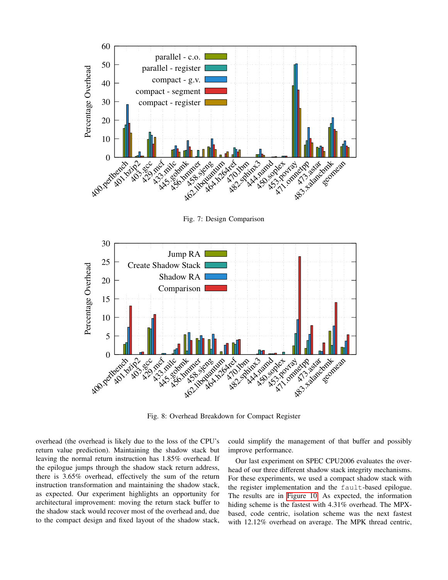

<span id="page-10-0"></span>Fig. 7: Design Comparison



<span id="page-10-1"></span>Fig. 8: Overhead Breakdown for Compact Register

overhead (the overhead is likely due to the loss of the CPU's return value prediction). Maintaining the shadow stack but leaving the normal return instruction has 1.85% overhead. If the epilogue jumps through the shadow stack return address, there is 3.65% overhead, effectively the sum of the return instruction transformation and maintaining the shadow stack, as expected. Our experiment highlights an opportunity for architectural improvement: moving the return stack buffer to the shadow stack would recover most of the overhead and, due to the compact design and fixed layout of the shadow stack,

could simplify the management of that buffer and possibly improve performance.

Our last experiment on SPEC CPU2006 evaluates the overhead of our three different shadow stack integrity mechanisms. For these experiments, we used a compact shadow stack with the register implementation and the fault-based epilogue. The results are in [Figure 10.](#page-11-1) As expected, the information hiding scheme is the fastest with 4.31% overhead. The MPXbased, code centric, isolation scheme was the next fastest with 12.12% overhead on average. The MPK thread centric,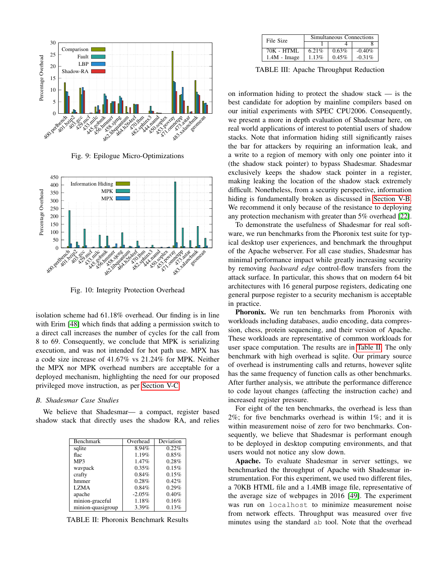

<span id="page-11-0"></span>Fig. 9: Epilogue Micro-Optimizations



<span id="page-11-1"></span>Fig. 10: Integrity Protection Overhead

isolation scheme had 61.18% overhead. Our finding is in line with Erim [\[48\]](#page-13-47) which finds that adding a permission switch to a direct call increases the number of cycles for the call from 8 to 69. Consequently, we conclude that MPK is serializing execution, and was not intended for hot path use. MPX has a code size increase of 41.67% vs 21.24% for MPK. Neither the MPX nor MPK overhead numbers are acceptable for a deployed mechanism, highlighting the need for our proposed privileged move instruction, as per [Section V-C.](#page-8-1)

### *B. Shadesmar Case Studies*

We believe that Shadesmar— a compact, register based shadow stack that directly uses the shadow RA, and relies

| <b>Benchmark</b>  | Overhead | Deviation |
|-------------------|----------|-----------|
| sqlite            | 8.94%    | 0.22%     |
| flac              | 1.19%    | 0.85%     |
| MP3               | 1.47%    | 0.28%     |
| wavpack           | 0.35%    | 0.15%     |
| crafty            | 0.84%    | 0.15%     |
| hmmer             | 0.28%    | 0.42%     |
| LZMA              | 0.84%    | 0.29%     |
| apache            | $-2.05%$ | 0.40%     |
| minion-graceful   | 1.18%    | 0.16%     |
| minion-quasigroup | 3.39%    | 0.13%     |

<span id="page-11-2"></span>TABLE II: Phoronix Benchmark Results

| File Size      | Simultaneous Connections |       |           |  |  |  |
|----------------|--------------------------|-------|-----------|--|--|--|
|                |                          |       |           |  |  |  |
| 70K - HTML     | 6.21%                    | 0.63% | $-0.40%$  |  |  |  |
| $1.4M$ - Image | $1.13\%$                 | 0.45% | $-0.31\%$ |  |  |  |

<span id="page-11-3"></span>TABLE III: Apache Throughput Reduction

on information hiding to protect the shadow stack — is the best candidate for adoption by mainline compilers based on our initial experiments with SPEC CPU2006. Consequently, we present a more in depth evaluation of Shadesmar here, on real world applications of interest to potential users of shadow stacks. Note that information hiding still significantly raises the bar for attackers by requiring an information leak, and a write to a region of memory with only one pointer into it (the shadow stack pointer) to bypass Shadesmar. Shadesmar exclusively keeps the shadow stack pointer in a register, making leaking the location of the shadow stack extremely difficult. Nonetheless, from a security perspective, information hiding is fundamentally broken as discussed in [Section V-B.](#page-7-1) We recommend it only because of the resistance to deploying any protection mechanism with greater than 5% overhead [\[22\]](#page-13-21).

To demonstrate the usefulness of Shadesmar for real software, we run benchmarks from the Phoronix test suite for typical desktop user experiences, and benchmark the throughput of the Apache webserver. For all case studies, Shadesmar has minimal performance impact while greatly increasing security by removing *backward edge* control-flow transfers from the attack surface. In particular, this shows that on modern 64 bit architectures with 16 general purpose registers, dedicating one general purpose register to a security mechanism is acceptable in practice.

Phoronix. We run ten benchmarks from Phoronix with workloads including databases, audio encoding, data compression, chess, protein sequencing, and their version of Apache. These workloads are representative of common workloads for user space computation. The results are in [Table II.](#page-11-2) The only benchmark with high overhead is sqlite. Our primary source of overhead is instrumenting calls and returns, however sqlite has the same frequency of function calls as other benchmarks. After further analysis, we attribute the performance difference to code layout changes (affecting the instruction cache) and increased register pressure.

For eight of the ten benchmarks, the overhead is less than 2%; for five benchmarks overhead is within 1%; and it is within measurement noise of zero for two benchmarks. Consequently, we believe that Shadesmar is performant enough to be deployed in desktop computing environments, and that users would not notice any slow down.

Apache. To evaluate Shadesmar in server settings, we benchmarked the throughput of Apache with Shadesmar instrumentation. For this experiment, we used two different files, a 70KB HTML file and a 1.4MB image file, representative of the average size of webpages in 2016 [\[49\]](#page-13-48). The experiment was run on localhost to minimize measurement noise from network effects. Throughput was measured over five minutes using the standard ab tool. Note that the overhead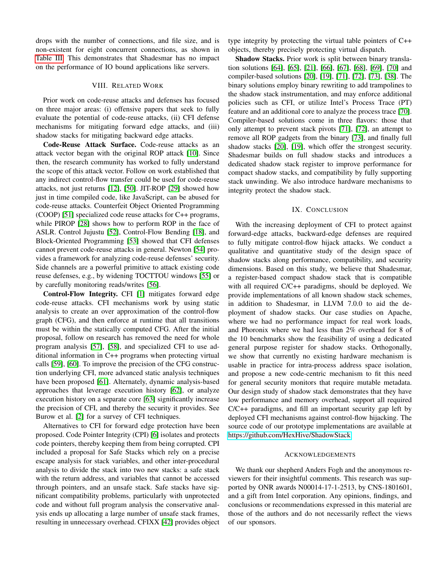drops with the number of connections, and file size, and is non-existent for eight concurrent connections, as shown in [Table III.](#page-11-3) This demonstrates that Shadesmar has no impact on the performance of IO bound applications like servers.

### VIII. RELATED WORK

Prior work on code-reuse attacks and defenses has focused on three major areas: (i) offensive papers that seek to fully evaluate the potential of code-reuse attacks, (ii) CFI defense mechanisms for mitigating forward edge attacks, and (iii) shadow stacks for mitigating backward edge attacks.

Code-Reuse Attack Surface. Code-reuse attacks as an attack vector began with the original ROP attack [\[10\]](#page-13-9). Since then, the research community has worked to fully understand the scope of this attack vector. Follow on work established that any indirect control-flow transfer could be used for code-reuse attacks, not just returns [\[12\]](#page-13-11), [\[50\]](#page-13-49). JIT-ROP [\[29\]](#page-13-28) showed how just in time compiled code, like JavaScript, can be abused for code-reuse attacks. Counterfeit Object Oriented Programming (COOP) [\[51\]](#page-13-50) specialized code reuse attacks for C++ programs, while PIROP [\[28\]](#page-13-27) shows how to perform ROP in the face of ASLR. Control Jujustu [\[52\]](#page-13-51), Control-Flow Bending [\[18\]](#page-13-17), and Block-Oriented Programming [\[53\]](#page-13-52) showed that CFI defenses cannot prevent code-reuse attacks in general. Newton [\[54\]](#page-13-53) provides a framework for analyzing code-reuse defenses' security. Side channels are a powerful primitive to attack existing code reuse defenses, e.g., by widening TOCTTOU windows [\[55\]](#page-13-54) or by carefully monitoring reads/writes [\[56\]](#page-13-55).

Control-Flow Integrity. CFI [\[1\]](#page-13-0) mitigates forward edge code-reuse attacks. CFI mechanisms work by using static analysis to create an over approximation of the control-flow graph (CFG), and then enforce at runtime that all transitions must be within the statically computed CFG. After the initial proposal, follow on research has removed the need for whole program analysis [\[57\]](#page-13-56), [\[58\]](#page-13-57), and specialized CFI to use additional information in C++ programs when protecting virtual calls [\[59\]](#page-13-58), [\[60\]](#page-13-59). To improve the precision of the CFG construction underlying CFI, more advanced static analysis techniques have been proposed [\[61\]](#page-14-0). Alternately, dynamic analysis-based approaches that leverage execution history [\[62\]](#page-14-1), or analyze execution history on a separate core [\[63\]](#page-14-2) significantly increase the precision of CFI, and thereby the security it provides. See Burow et al. [\[2\]](#page-13-1) for a survey of CFI techniques.

Alternatives to CFI for forward edge protection have been proposed. Code Pointer Integrity (CPI) [\[6\]](#page-13-5) isolates and protects code pointers, thereby keeping them from being corrupted. CPI included a proposal for Safe Stacks which rely on a precise escape analysis for stack variables, and other inter-procedural analysis to divide the stack into two new stacks: a safe stack with the return address, and variables that cannot be accessed through pointers, and an unsafe stack. Safe stacks have significant compatibility problems, particularly with unprotected code and without full program analysis the conservative analysis ends up allocating a large number of unsafe stack frames, resulting in unnecessary overhead. CFIXX [\[42\]](#page-13-41) provides object type integrity by protecting the virtual table pointers of C++ objects, thereby precisely protecting virtual dispatch.

Shadow Stacks. Prior work is split between binary translation solutions [\[64\]](#page-14-3), [\[65\]](#page-14-4), [\[21\]](#page-13-20), [\[66\]](#page-14-5), [\[67\]](#page-14-6), [\[68\]](#page-14-7), [\[69\]](#page-14-8), [\[70\]](#page-14-9) and compiler-based solutions [\[20\]](#page-13-19), [\[19\]](#page-13-18), [\[71\]](#page-14-10), [\[72\]](#page-14-11), [\[73\]](#page-14-12), [\[38\]](#page-13-37). The binary solutions employ binary rewriting to add trampolines to the shadow stack instrumentation, and may enforce additional policies such as CFI, or utilize Intel's Process Trace (PT) feature and an additional core to analyze the process trace [\[70\]](#page-14-9). Compiler-based solutions come in three flavors: those that only attempt to prevent stack pivots [\[71\]](#page-14-10), [\[72\]](#page-14-11), an attempt to remove all ROP gadgets from the binary [\[73\]](#page-14-12), and finally full shadow stacks [\[20\]](#page-13-19), [\[19\]](#page-13-18), which offer the strongest security. Shadesmar builds on full shadow stacks and introduces a dedicated shadow stack register to improve performance for compact shadow stacks, and compatibility by fully supporting stack unwinding. We also introduce hardware mechanisms to integrity protect the shadow stack.

# IX. CONCLUSION

With the increasing deployment of CFI to protect against forward-edge attacks, backward-edge defenses are required to fully mitigate control-flow hijack attacks. We conduct a qualitative and quantitative study of the design space of shadow stacks along performance, compatibility, and security dimensions. Based on this study, we believe that Shadesmar, a register-based compact shadow stack that is compatible with all required C/C++ paradigms, should be deployed. We provide implementations of all known shadow stack schemes, in addition to Shadesmar, in LLVM 7.0.0 to aid the deployment of shadow stacks. Our case studies on Apache, where we had no performance impact for real work loads, and Phoronix where we had less than 2% overhead for 8 of the 10 benchmarks show the feasibility of using a dedicated general purpose register for shadow stacks. Orthogonally, we show that currently no existing hardware mechanism is usable in practice for intra-process address space isolation, and propose a new code-centric mechanism to fit this need for general security monitors that require mutable metadata. Our design study of shadow stack demonstrates that they have low performance and memory overhead, support all required C/C++ paradigms, and fill an important security gap left by deployed CFI mechanisms against control-flow hijacking. The source code of our prototype implementations are available at [https://github.com/HexHive/ShadowStack.](https://github.com/HexHive/ShadowStack)

### ACKNOWLEDGEMENTS

We thank our shepherd Anders Fogh and the anonymous reviewers for their insightful comments. This research was supported by ONR awards N00014-17-1-2513, by CNS-1801601, and a gift from Intel corporation. Any opinions, findings, and conclusions or recommendations expressed in this material are those of the authors and do not necessarily reflect the views of our sponsors.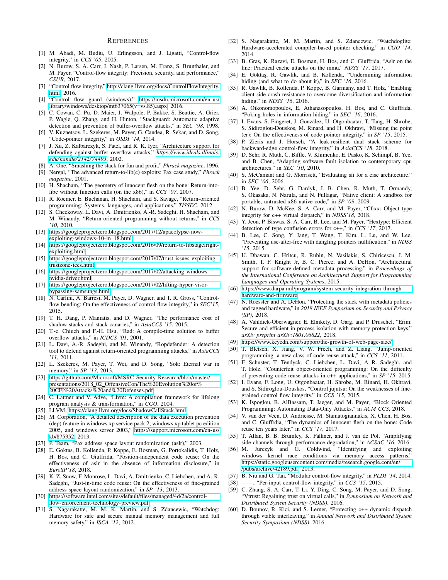### **REFERENCES**

- <span id="page-13-0"></span>[1] M. Abadi, M. Budiu, U. Erlingsson, and J. Ligatti, "Control-flow integrity," in *CCS '05*, 2005.
- <span id="page-13-1"></span>[2] N. Burow, S. A. Carr, J. Nash, P. Larsen, M. Franz, S. Brunthaler, and M. Payer, "Control-flow integrity: Precision, security, and performance," *CSUR*, 2017.
- <span id="page-13-2"></span>[3] "Control flow integrity," [http://clang.llvm.org/docs/ControlFlowIntegrity.](http://clang.llvm.org/docs/ControlFlowIntegrity.html) [html,](http://clang.llvm.org/docs/ControlFlowIntegrity.html) 2016.
- <span id="page-13-3"></span>[4] "Control flow guard (windows)," [https://msdn.microsoft.com/en-us/](https://msdn.microsoft.com/en-us/library/windows/desktop/mt637065(v=vs.85).aspx) [library/windows/desktop/mt637065\(v=vs.85\).aspx,](https://msdn.microsoft.com/en-us/library/windows/desktop/mt637065(v=vs.85).aspx) 2016.
- <span id="page-13-4"></span>[5] C. Cowan, C. Pu, D. Maier, J. Walpole, P. Bakke, S. Beattie, A. Grier, P. Wagle, Q. Zhang, and H. Hinton, "Stackguard: Automatic adaptive detection and prevention of buffer-overflow attacks." in *SEC '98*, 1998.
- <span id="page-13-5"></span>[6] V. Kuznetsov, L. Szekeres, M. Payer, G. Candea, R. Sekar, and D. Song, "Code-pointer integrity," in *OSDI '14*, 2014.
- <span id="page-13-6"></span>[7] J. Xu, Z. Kalbarczyk, S. Patel, and R. K. Iyer, "Architecture support for defending against buffer overflow attacks," *[https://www.ideals.illinois.](https://www.ideals.illinois.edu/handle/2142/74493) [edu/ handle/ 2142/ 74493](https://www.ideals.illinois.edu/handle/2142/74493)*, 2002.
- <span id="page-13-7"></span>[8] A. One, "Smashing the stack for fun and profit," *Phrack magazine*, 1996.
- <span id="page-13-8"></span>[9] Nergal, "The advanced return-to-lib(c) exploits: Pax case study," *Phrack magazine*, 2001.
- <span id="page-13-9"></span>[10] H. Shacham, "The geometry of innocent flesh on the bone: Return-intolibc without function calls (on the x86)," in *CCS '07*, 2007.
- <span id="page-13-10"></span>[11] R. Roemer, E. Buchanan, H. Shacham, and S. Savage, "Return-oriented programming: Systems, languages, and applications," *TISSEC*, 2012.
- <span id="page-13-11"></span>[12] S. Checkoway, L. Davi, A. Dmitrienko, A.-R. Sadeghi, H. Shacham, and M. Winandy, "Return-oriented programming without returns," in *CCS '10*, 2010.
- <span id="page-13-12"></span>[13] [https://googleprojectzero.blogspot.com/2017/12/apacolypse-now](https://googleprojectzero.blogspot.com/2017/12/apacolypse-now-exploiting-windows-10-in_18.html)[exploiting-windows-10-in](https://googleprojectzero.blogspot.com/2017/12/apacolypse-now-exploiting-windows-10-in_18.html) 18.html.
- <span id="page-13-13"></span>[14] [https://googleprojectzero.blogspot.com/2016/09/return-to-libstagefright](https://googleprojectzero.blogspot.com/2016/09/return-to-libstagefright-exploiting.html)[exploiting.html.](https://googleprojectzero.blogspot.com/2016/09/return-to-libstagefright-exploiting.html)
- <span id="page-13-14"></span>[15] [https://googleprojectzero.blogspot.com/2017/07/trust-issues-exploiting](https://googleprojectzero.blogspot.com/2017/07/trust-issues-exploiting-trustzone-tees.html)[trustzone-tees.html.](https://googleprojectzero.blogspot.com/2017/07/trust-issues-exploiting-trustzone-tees.html)
- <span id="page-13-15"></span>[16] [https://googleprojectzero.blogspot.com/2017/02/attacking-windows](https://googleprojectzero.blogspot.com/2017/02/attacking-windows-nvidia-driver.html)[nvidia-driver.html.](https://googleprojectzero.blogspot.com/2017/02/attacking-windows-nvidia-driver.html)
- <span id="page-13-16"></span>[17] [https://googleprojectzero.blogspot.com/2017/02/lifting-hyper-visor](https://googleprojectzero.blogspot.com/2017/02/lifting-hyper-visor-bypassing-samsungs.html)[bypassing-samsungs.html.](https://googleprojectzero.blogspot.com/2017/02/lifting-hyper-visor-bypassing-samsungs.html)
- <span id="page-13-17"></span>[18] N. Carlini, A. Barresi, M. Payer, D. Wagner, and T. R. Gross, "Controlflow bending: On the effectiveness of control-flow integrity," in *SEC'15*, 2015.
- <span id="page-13-18"></span>[19] T. H. Dang, P. Maniatis, and D. Wagner, "The performance cost of shadow stacks and stack canaries," in *AsiaCCS '15*, 2015.
- <span id="page-13-19"></span>[20] T.-c. Chiueh and F.-H. Hsu, "Rad: A compile-time solution to buffer overflow attacks," in *ICDCS '01*, 2001.
- <span id="page-13-20"></span>[21] L. Davi, A.-R. Sadeghi, and M. Winandy, "Ropdefender: A detection tool to defend against return-oriented programming attacks," in *AsiaCCS '11*, 2011.
- <span id="page-13-21"></span>[22] L. Szekeres, M. Payer, T. Wei, and D. Song, "Sok: Eternal war in memory," in *SP '13*, 2013.
- <span id="page-13-22"></span>[23] [https://github.com/Microsoft/MSRC-Security-Research/blob/master/](https://github.com/Microsoft/MSRC-Security-Research/blob/master/presentations/2018_02_OffensiveCon/The%20Evolution%20of%20CFI%20Attacks%20and%20Defenses.pdf) presentations/2018 02 [OffensiveCon/The%20Evolution%20of%](https://github.com/Microsoft/MSRC-Security-Research/blob/master/presentations/2018_02_OffensiveCon/The%20Evolution%20of%20CFI%20Attacks%20and%20Defenses.pdf) [20CFI%20Attacks%20and%20Defenses.pdf.](https://github.com/Microsoft/MSRC-Security-Research/blob/master/presentations/2018_02_OffensiveCon/The%20Evolution%20of%20CFI%20Attacks%20and%20Defenses.pdf)
- <span id="page-13-23"></span>[24] C. Lattner and V. Adve, "Llvm: A compilation framework for lifelong program analysis & transformation," in *CGO*, 2004.
- <span id="page-13-24"></span>[25] LLVM, [https://clang.llvm.org/docs/ShadowCallStack.html.](https://clang.llvm.org/docs/ShadowCallStack.html)
- <span id="page-13-25"></span>[26] M. Corporation, "A detailed description of the data execution prevention (dep) feature in windows xp service pack 2, windows xp tablet pc edition 2005, and windows server 2003," [https://support.microsoft.com/en-us/](https://support.microsoft.com/en-us/kb/875352) [kb/875352,](https://support.microsoft.com/en-us/kb/875352) 2013.
- <span id="page-13-26"></span>[27] P. Team, "Pax address space layout randomization (aslr)," 2003.
- <span id="page-13-27"></span>[28] E. Goktas, B. Kollenda, P. Koppe, E. Bosman, G. Portokalidis, T. Holz, H. Bos, and C. Giuffrida, "Position-independent code reuse: On the effectiveness of aslr in the absence of information disclosure," in *EuroSP'18*, 2018.
- <span id="page-13-28"></span>[29] K. Z. Snow, F. Monrose, L. Davi, A. Dmitrienko, C. Liebchen, and A.-R. Sadeghi, "Just-in-time code reuse: On the effectiveness of fine-grained address space layout randomization," in *SP '13*, 2013.
- <span id="page-13-29"></span>[30] [https://software.intel.com/sites/default/files/managed/4d/2a/control](https://software.intel.com/sites/default/files/managed/4d/2a/control-flow-enforcement-technology-preview.pdf)[flow-enforcement-technology-preview.pdf.](https://software.intel.com/sites/default/files/managed/4d/2a/control-flow-enforcement-technology-preview.pdf)
- <span id="page-13-30"></span>[31] S. Nagarakatte, M. M. K. Martin, and S. Zdancewic, "Watchdog: Hardware for safe and secure manual memory management and full memory safety," in *ISCA '12*, 2012.
- <span id="page-13-31"></span>[32] S. Nagarakatte, M. M. Martin, and S. Zdancewic, "Watchdoglite: Hardware-accelerated compiler-based pointer checking," in *CGO '14*, 2014.
- <span id="page-13-32"></span>[33] B. Gras, K. Razavi, E. Bosman, H. Bos, and C. Giuffrida, "Aslr on the line: Practical cache attacks on the mmu," *NDSS '17*, 2017.
- <span id="page-13-33"></span>[34] E. Göktaş, R. Gawlik, and B. Kollenda, "Undermining information hiding (and what to do about it)," in *SEC '16*, 2016.
- <span id="page-13-34"></span>[35] R. Gawlik, B. Kollenda, P. Koppe, B. Garmany, and T. Holz, "Enabling client-side crash-resistance to overcome diversification and information hiding." in *NDSS '16*, 2016.
- <span id="page-13-35"></span>[36] A. Oikonomopoulos, E. Athanasopoulos, H. Bos, and C. Giuffrida, "Poking holes in information hiding." in *SEC '16*, 2016.
- <span id="page-13-36"></span>[37] I. Evans, S. Fingeret, J. González, U. Otgonbaatar, T. Tang, H. Shrobe, S. Sidiroglou-Douskos, M. Rinard, and H. Okhravi, "Missing the point (er): On the effectiveness of code pointer integrity," in *SP '15*, 2015.
- <span id="page-13-37"></span>[38] P. Zieris and J. Horsch, "A leak-resilient dual stack scheme for backward-edge control-flow integrity," in *AsiaCCS '18*, 2018.
- <span id="page-13-38"></span>[39] D. Sehr, R. Muth, C. Biffle, V. Khimenko, E. Pasko, K. Schimpf, B. Yee, and B. Chen, "Adapting software fault isolation to contemporary cpu architectures." in *SEC '10*, 2010.
- <span id="page-13-39"></span>[40] S. McCamant and G. Morrisett, "Evaluating sfi for a cisc architecture." in *SEC '06*, 2006.
- <span id="page-13-40"></span>[41] B. Yee, D. Sehr, G. Dardyk, J. B. Chen, R. Muth, T. Ormandy, S. Okasaka, N. Narula, and N. Fullagar, "Native client: A sandbox for portable, untrusted x86 native code," in *SP '09*, 2009.
- <span id="page-13-41"></span>[42] N. Burow, D. McKee, S. A. Carr, and M. Payer, "Cfixx: Object type integrity for c++ virtual dispatch," in *NDSS'18*, 2018.
- <span id="page-13-42"></span>[43] Y. Jeon, P. Biswas, S. A. Carr, B. Lee, and M. Payer, "Hextype: Efficient detection of type confusion errors for c++," in *CCS '17*, 2017.
- <span id="page-13-43"></span>[44] B. Lee, C. Song, Y. Jang, T. Wang, T. Kim, L. Lu, and W. Lee, "Preventing use-after-free with dangling pointers nullification." in *NDSS '15*, 2015.
- <span id="page-13-44"></span>[45] U. Dhawan, C. Hritcu, R. Rubin, N. Vasilakis, S. Chiricescu, J. M. Smith, T. F. Knight Jr, B. C. Pierce, and A. DeHon, "Architectural support for software-defined metadata processing," in *Proceedings of the International Conference on Architectural Support for Programming Languages and Operating Systems*, 2015.
- <span id="page-13-45"></span>[46] [https://www.darpa.mil/program/system-security-integration-through](https://www.darpa.mil/program/system-security-integration-through-hardware-and-firmware)[hardware-and-firmware.](https://www.darpa.mil/program/system-security-integration-through-hardware-and-firmware)
- <span id="page-13-46"></span>[47] N. Roessler and A. DeHon, "Protecting the stack with metadata policies and tagged hardware," in *2018 IEEE Symposium on Security and Privacy (SP)*, 2018.
- <span id="page-13-47"></span>[48] A. Vahldiek-Oberwagner, E. Elnikety, D. Garg, and P. Druschel, "Erim: Secure and efficient in-process isolation with memory protection keys," *arXiv preprint arXiv:1801.06822*, 2018.
- <span id="page-13-48"></span>[49] [https://www.keycdn.com/support/the-growth-of-web-page-size/.](https://www.keycdn.com/support/the-growth-of-web-page-size/)
- <span id="page-13-49"></span>[50] T. Bletsch, X. Jiang, V. W. Freeh, and Z. Liang, "Jump-oriented programming: a new class of code-reuse attack," in *CCS '11*, 2011.
- <span id="page-13-50"></span>[51] F. Schuster, T. Tendyck, C. Liebchen, L. Davi, A.-R. Sadeghi, and T. Holz, "Counterfeit object-oriented programming: On the difficulty of preventing code reuse attacks in c++ applications," in *SP '15*, 2015.
- <span id="page-13-51"></span>[52] I. Evans, F. Long, U. Otgonbaatar, H. Shrobe, M. Rinard, H. Okhravi, and S. Sidiroglou-Douskos, "Control jujutsu: On the weaknesses of finegrained control flow integrity," in *CCS '15*, 2015.
- <span id="page-13-52"></span>[53] K. Ispoglou, B. AlBassam, T. Jaeger, and M. Payer, "Block Oriented Programming: Automating Data-Only Attacks," in *ACM CCS*, 2018.
- <span id="page-13-53"></span>[54] V. van der Veen, D. Andriesse, M. Stamatogiannakis, X. Chen, H. Bos, and C. Giuffrdia, "The dynamics of innocent flesh on the bone: Code reuse ten years later," in *CCS '17*, 2017.
- <span id="page-13-54"></span>[55] T. Allan, B. B. Brumley, K. Falkner, and J. van de Pol, "Amplifying side channels through performance degradation," in *ACSAC '16*, 2016.
- <span id="page-13-55"></span>[56] M. Jurczyk and G. Coldwind, "Identifying and exploiting windows kernel race conditions via memory access patterns, [https://static.googleusercontent.com/media/research.google.com/en/](https://static.googleusercontent.com/media/research.google.com/en//pubs/archive/42189.pdf) [/pubs/archive/42189.pdf,](https://static.googleusercontent.com/media/research.google.com/en//pubs/archive/42189.pdf) 2013.
- <span id="page-13-56"></span>[57] B. Niu and G. Tan, "Modular control-flow integrity," in *PLDI '14*, 2014.
- <span id="page-13-57"></span>[58] ——, "Per-input control-flow integrity," in *CCS '15*, 2015.
- <span id="page-13-58"></span>[59] C. Zhang, S. A. Carr, T. Li, Y. Ding, C. Song, M. Payer, and D. Song, "Vtrust: Regaining trust on virtual calls," in *Symposium on Network and Distributed System Security (NDSS)*, 2016.
- <span id="page-13-59"></span>[60] D. Bounov, R. Kici, and S. Lerner, "Protecting c++ dynamic dispatch through vtable interleaving," in *Annual Network and Distributed System Security Symposium (NDSS)*, 2016.